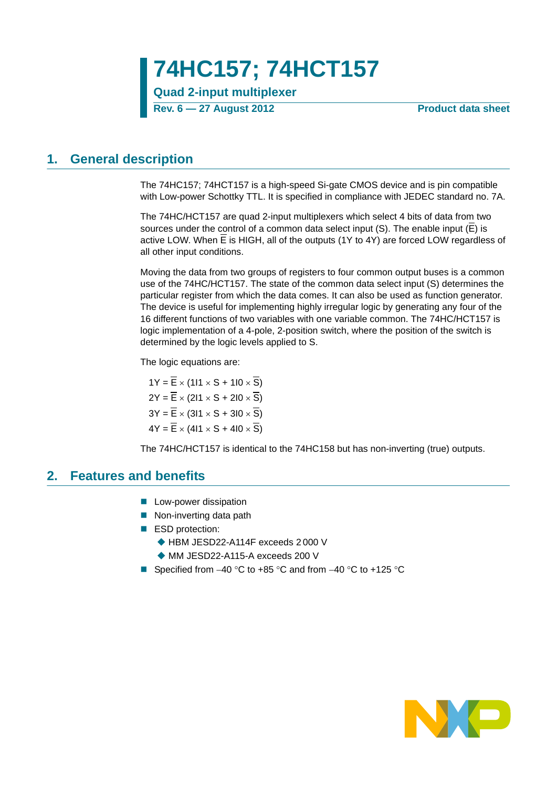**74HC157; 74HCT157**

**Quad 2-input multiplexer**

**Rev. 6 — 27 August 2012 Product data sheet**

## <span id="page-0-0"></span>**1. General description**

The 74HC157; 74HCT157 is a high-speed Si-gate CMOS device and is pin compatible with Low-power Schottky TTL. It is specified in compliance with JEDEC standard no. 7A.

The 74HC/HCT157 are quad 2-input multiplexers which select 4 bits of data from two sources under the control of a common data select input (S). The enable input (E) is active LOW. When E is HIGH, all of the outputs (1Y to 4Y) are forced LOW regardless of all other input conditions.

Moving the data from two groups of registers to four common output buses is a common use of the 74HC/HCT157. The state of the common data select input (S) determines the particular register from which the data comes. It can also be used as function generator. The device is useful for implementing highly irregular logic by generating any four of the 16 different functions of two variables with one variable common. The 74HC/HCT157 is logic implementation of a 4-pole, 2-position switch, where the position of the switch is determined by the logic levels applied to S.

The logic equations are:

 $1Y = \overline{E} \times (111 \times S + 110 \times \overline{S})$  $2Y = \overline{E} \times (211 \times S + 210 \times \overline{S})$  $3Y = \overline{E} \times (311 \times S + 310 \times \overline{S})$  $4Y = \overline{E} \times (411 \times S + 410 \times \overline{S})$ 

The 74HC/HCT157 is identical to the 74HC158 but has non-inverting (true) outputs.

### <span id="page-0-1"></span>**2. Features and benefits**

- **Low-power dissipation**
- Non-inverting data path
- ESD protection:
	- ◆ HBM JESD22-A114F exceeds 2 000 V
	- ◆ MM JESD22-A115-A exceeds 200 V
- Specified from  $-40^{\circ}$ C to  $+85^{\circ}$ C and from  $-40^{\circ}$ C to  $+125^{\circ}$ C

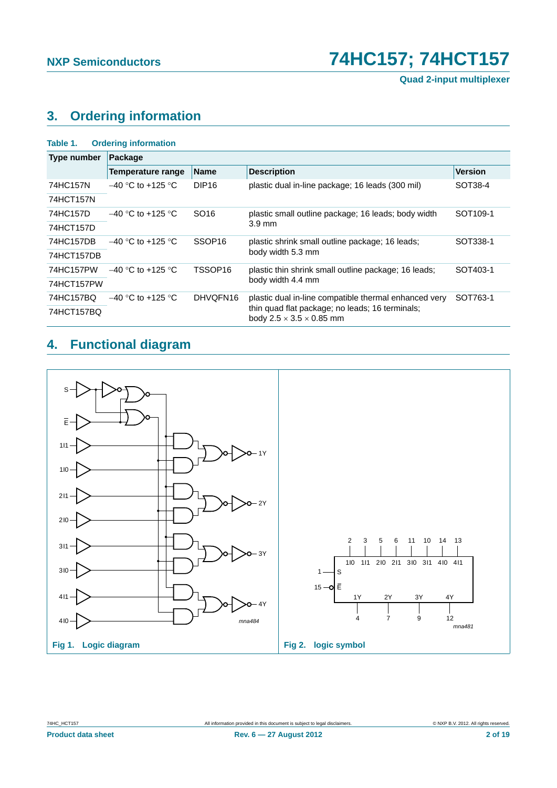# <span id="page-1-0"></span>**3. Ordering information**

| <b>Ordering information</b><br>Table 1. |                                 |                    |                                                                                         |                      |  |  |  |  |
|-----------------------------------------|---------------------------------|--------------------|-----------------------------------------------------------------------------------------|----------------------|--|--|--|--|
| Type number                             | Package                         |                    |                                                                                         |                      |  |  |  |  |
|                                         | Temperature range               | <b>Name</b>        | <b>Description</b>                                                                      | <b>Version</b>       |  |  |  |  |
| 74HC157N                                | $-40$ °C to +125 °C             | DIP <sub>16</sub>  | plastic dual in-line package; 16 leads (300 mil)                                        | SOT38-4              |  |  |  |  |
| 74HCT157N                               |                                 |                    |                                                                                         |                      |  |  |  |  |
| 74HC157D                                | $-40$ °C to +125 °C             | SO <sub>16</sub>   | plastic small outline package; 16 leads; body width                                     | SOT <sub>109-1</sub> |  |  |  |  |
| 74HCT157D                               |                                 |                    | $3.9 \text{ mm}$                                                                        |                      |  |  |  |  |
| 74HC157DB                               | $-40$ °C to +125 °C             | SSOP <sub>16</sub> | plastic shrink small outline package; 16 leads;                                         | SOT338-1             |  |  |  |  |
| 74HCT157DB                              |                                 |                    | body width 5.3 mm                                                                       |                      |  |  |  |  |
| 74HC157PW                               | $-40$ °C to +125 °C.            | TSSOP16            | plastic thin shrink small outline package; 16 leads;                                    | SOT403-1             |  |  |  |  |
| 74HCT157PW                              |                                 |                    | body width 4.4 mm                                                                       |                      |  |  |  |  |
| 74HC157BQ                               | $-40$ °C to +125 °C<br>DHVQFN16 |                    | plastic dual in-line compatible thermal enhanced very                                   | SOT763-1             |  |  |  |  |
| 74HCT157BQ                              |                                 |                    | thin quad flat package; no leads; 16 terminals;<br>body $2.5 \times 3.5 \times 0.85$ mm |                      |  |  |  |  |

# <span id="page-1-1"></span>**4. Functional diagram**

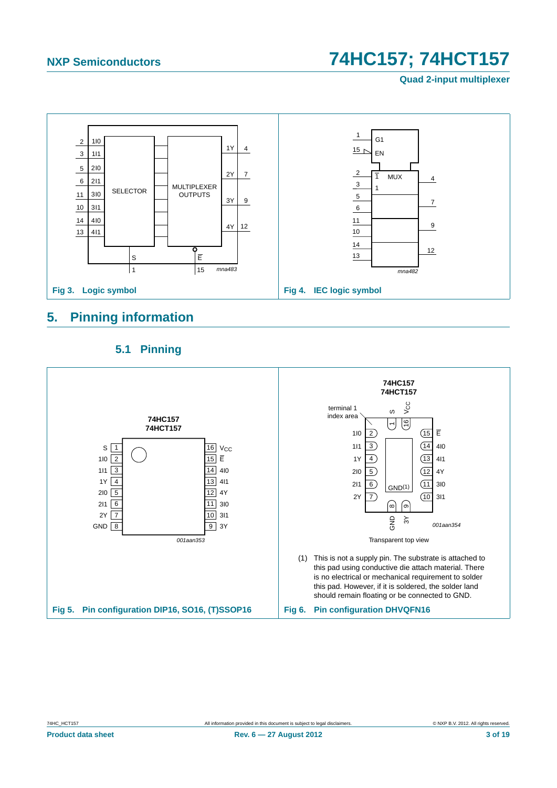**Quad 2-input multiplexer**



## <span id="page-2-0"></span>**5. Pinning information**

<span id="page-2-1"></span>

### **5.1 Pinning**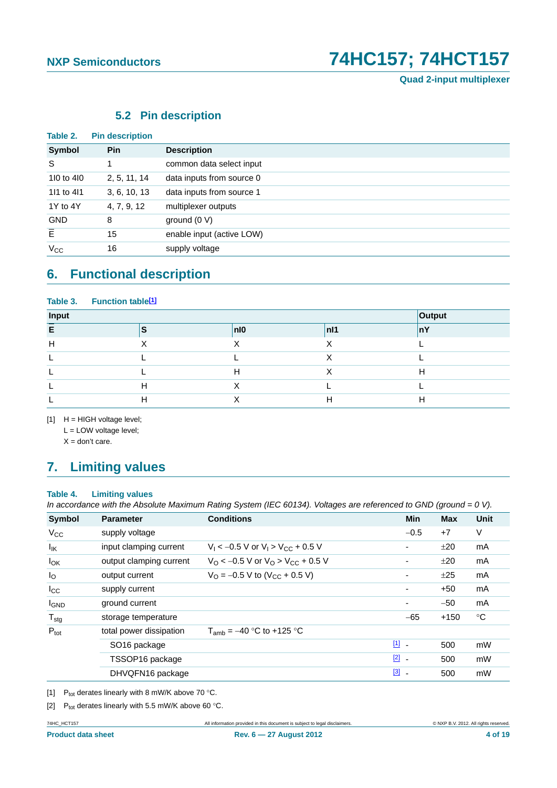## **5.2 Pin description**

<span id="page-3-3"></span>

| <b>Symbol</b>  | <b>Pin</b>   | <b>Description</b>        |
|----------------|--------------|---------------------------|
| S              |              | common data select input  |
| 110 to 410     | 2, 5, 11, 14 | data inputs from source 0 |
| 111 to 411     | 3, 6, 10, 13 | data inputs from source 1 |
| 1Y to 4Y       | 4, 7, 9, 12  | multiplexer outputs       |
| <b>GND</b>     | 8            | ground $(0 V)$            |
| $\overline{E}$ | 15           | enable input (active LOW) |
| $V_{\rm CC}$   | 16           | supply voltage            |

# <span id="page-3-4"></span>**6. Functional description**

#### Table 3. Function table<sup>[1]</sup>

| Input |                 |     |                |    |  |  |  |  |
|-------|-----------------|-----|----------------|----|--|--|--|--|
| c.    | $\epsilon$<br>o | n10 | n <sub>1</sub> | nY |  |  |  |  |
| Н     |                 |     |                |    |  |  |  |  |
|       |                 |     |                |    |  |  |  |  |
|       |                 | Ħ   |                | Н  |  |  |  |  |
|       | п               |     |                |    |  |  |  |  |
|       |                 |     |                |    |  |  |  |  |

<span id="page-3-0"></span> $[1]$  H = HIGH voltage level;

L = LOW voltage level;

 $X =$  don't care.

# <span id="page-3-5"></span>**7. Limiting values**

#### **Table 4. Limiting values**

*In accordance with the Absolute Maximum Rating System (IEC 60134). Voltages are referenced to GND (ground = 0 V).*

| <b>Symbol</b>     | <b>Parameter</b>         | <b>Conditions</b>                                             | Min                      | <b>Max</b> | Unit        |
|-------------------|--------------------------|---------------------------------------------------------------|--------------------------|------------|-------------|
| $V_{CC}$          | supply voltage           |                                                               | $-0.5$                   | $+7$       | $\vee$      |
| $I_{\mathsf{IK}}$ | input clamping current   | $V_1 < -0.5$ V or $V_1 > V_{CC} + 0.5$ V                      | ۰                        | ±20        | mA          |
| $I_{OK}$          | output clamping current  | $V_{\rm O}$ < -0.5 V or $V_{\rm O}$ > V <sub>CC</sub> + 0.5 V | ۰                        | ±20        | mA          |
| $I_{\rm O}$       | output current           | $V_{\Omega}$ = -0.5 V to (V <sub>CC</sub> + 0.5 V)            | $\overline{\phantom{a}}$ | ±25        | mA          |
| $I_{\rm CC}$      | supply current           |                                                               | $\overline{\phantom{a}}$ | $+50$      | mA          |
| <b>I</b> GND      | ground current           |                                                               | $\overline{\phantom{a}}$ | $-50$      | mA          |
| $T_{\text{stg}}$  | storage temperature      |                                                               | $-65$                    | $+150$     | $^{\circ}C$ |
| $P_{\text{tot}}$  | total power dissipation  | $T_{amb} = -40$ °C to +125 °C                                 |                          |            |             |
|                   | SO <sub>16</sub> package |                                                               | $\boxed{11}$             | 500        | mW          |
|                   | TSSOP16 package          |                                                               | $\boxed{2}$ -            | 500        | mW          |
|                   | DHVQFN16 package         |                                                               | $\boxed{3}$ -            | 500        | mW          |

<span id="page-3-2"></span>[1] P<sub>tot</sub> derates linearly with 8 mW/K above 70 °C.

<span id="page-3-1"></span>[2]  $P_{tot}$  derates linearly with 5.5 mW/K above 60 °C.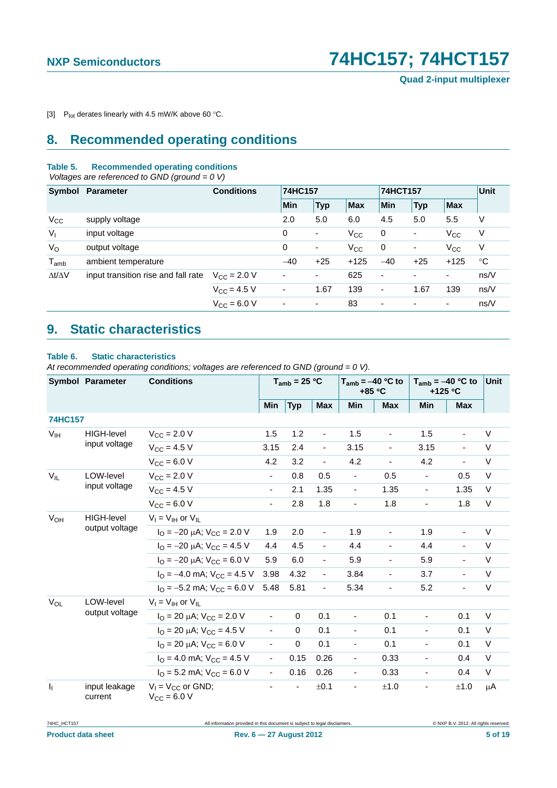<span id="page-4-0"></span>[3]  $P_{\text{tot}}$  derates linearly with 4.5 mW/K above 60 °C.

# <span id="page-4-1"></span>**8. Recommended operating conditions**

#### **Table 5. Recommended operating conditions**

 *Voltages are referenced to GND (ground = 0 V)*

|                     | Symbol Parameter                    | <b>Conditions</b>       |                          | 74HC157                  |              |                              | 74HCT157                 |                          |             |
|---------------------|-------------------------------------|-------------------------|--------------------------|--------------------------|--------------|------------------------------|--------------------------|--------------------------|-------------|
|                     |                                     |                         | Min                      | <b>Typ</b>               | Max          | <b>Min</b>                   | <b>Typ</b>               | <b>Max</b>               |             |
| $V_{\rm CC}$        | supply voltage                      |                         | 2.0                      | 5.0                      | 6.0          | 4.5                          | 5.0                      | 5.5                      | V           |
| $V_{I}$             | input voltage                       |                         | 0                        | ٠                        | $V_{\rm CC}$ | 0                            | $\blacksquare$           | $V_{\rm CC}$             | V           |
| $V_{\rm O}$         | output voltage                      |                         | 0                        | $\overline{\phantom{a}}$ | $V_{\rm CC}$ | 0                            | $\blacksquare$           | $V_{\rm CC}$             | V           |
| $T_{amb}$           | ambient temperature                 |                         | $-40$                    | $+25$                    | $+125$       | $-40$                        | $+25$                    | $+125$                   | $^{\circ}C$ |
| $\Delta t/\Delta V$ | input transition rise and fall rate | $V_{\rm CC}$ = 2.0 V    | $\overline{\phantom{a}}$ | -                        | 625          | $\overline{\phantom{a}}$     | $\overline{\phantom{0}}$ | $\overline{\phantom{a}}$ | ns/V        |
|                     |                                     | $V_{CC} = 4.5 V$        | $\overline{\phantom{a}}$ | 1.67                     | 139          | $\qquad \qquad \blacksquare$ | 1.67                     | 139                      | ns/V        |
|                     |                                     | $V_{\text{CC}} = 6.0 V$ | ٠                        | $\overline{\phantom{0}}$ | 83           | ٠                            | $\overline{\phantom{0}}$ | $\overline{\phantom{a}}$ | ns/V        |

# <span id="page-4-2"></span>**9. Static characteristics**

#### **Table 6. Static characteristics**

*At recommended operating conditions; voltages are referenced to GND (ground = 0 V).*

|                           | <b>Symbol Parameter</b>  | <b>Conditions</b>                                                  |                          | $T_{amb}$ = 25 °C |                          | $T_{amb} = -40 °C$ to<br>$+85 °C$ |                          | $T_{amb} = -40 °C$ to<br>+125 $\degree$ C |                          | <b>Unit</b> |
|---------------------------|--------------------------|--------------------------------------------------------------------|--------------------------|-------------------|--------------------------|-----------------------------------|--------------------------|-------------------------------------------|--------------------------|-------------|
|                           |                          |                                                                    | Min                      | <b>Typ</b>        | <b>Max</b>               | Min                               | <b>Max</b>               | Min                                       | <b>Max</b>               |             |
| <b>74HC157</b>            |                          |                                                                    |                          |                   |                          |                                   |                          |                                           |                          |             |
| $V_{IH}$                  | HIGH-level               | $V_{\text{CC}} = 2.0 V$                                            | 1.5                      | 1.2               | $\blacksquare$           | 1.5                               | $\blacksquare$           | 1.5                                       | ÷,                       | V           |
|                           | input voltage            | $V_{CC}$ = 4.5 V                                                   | 3.15                     | 2.4               | $\overline{\phantom{a}}$ | 3.15                              | $\blacksquare$           | 3.15                                      |                          | $\vee$      |
|                           |                          | $V_{CC} = 6.0 V$                                                   | 4.2                      | 3.2               | $\blacksquare$           | 4.2                               | $\blacksquare$           | 4.2                                       |                          | $\vee$      |
| LOW-level<br>$V_{IL}$     |                          | $V_{CC}$ = 2.0 V                                                   | $\overline{\phantom{a}}$ | 0.8               | 0.5                      | $\overline{\phantom{a}}$          | 0.5                      | $\blacksquare$                            | 0.5                      | $\vee$      |
|                           | input voltage            | $V_{CC}$ = 4.5 V                                                   | $\blacksquare$           | 2.1               | 1.35                     | $\sim$                            | 1.35                     | $\blacksquare$                            | 1.35                     | V           |
|                           | $V_{CC} = 6.0 V$         | $\blacksquare$                                                     | 2.8                      | 1.8               | $\blacksquare$           | 1.8                               | $\blacksquare$           | 1.8                                       | $\vee$                   |             |
| $V_{OH}$                  | <b>HIGH-level</b>        | $V_I = V_{IH}$ or $V_{IL}$                                         |                          |                   |                          |                                   |                          |                                           |                          |             |
|                           | output voltage           | $I_{\text{O}} = -20 \mu\text{A}$ ; $V_{\text{CC}} = 2.0 \text{ V}$ | 1.9                      | 2.0               | $\blacksquare$           | 1.9                               | $\blacksquare$           | 1.9                                       | L.                       | $\vee$      |
|                           |                          | $I_{\Omega}$ = -20 µA; $V_{\text{CC}}$ = 4.5 V                     | 4.4                      | 4.5               | $\overline{\phantom{a}}$ | 4.4                               | $\blacksquare$           | 4.4                                       | ٠                        | V           |
|                           |                          | $I_{\Omega} = -20 \mu A$ ; $V_{\text{CC}} = 6.0 \text{ V}$         | 5.9                      | 6.0               | $\blacksquare$           | 5.9                               | $\blacksquare$           | 5.9                                       | ÷.                       | $\vee$      |
|                           |                          | $I_{\text{O}} = -4.0 \text{ mA}$ ; $V_{\text{CC}} = 4.5 \text{ V}$ | 3.98                     | 4.32              | $\overline{\phantom{a}}$ | 3.84                              | $\overline{\phantom{a}}$ | 3.7                                       | -                        | V           |
|                           |                          | $I_{\Omega}$ = -5.2 mA; $V_{\text{CC}}$ = 6.0 V                    | 5.48                     | 5.81              | $\overline{\phantom{a}}$ | 5.34                              | $\blacksquare$           | 5.2                                       | $\overline{\phantom{0}}$ | V           |
| $V_{OL}$                  | LOW-level                | $V_I = V_{IH}$ or $V_{IL}$                                         |                          |                   |                          |                                   |                          |                                           |                          |             |
|                           | output voltage           | $I_{\text{O}}$ = 20 $\mu$ A; V <sub>CC</sub> = 2.0 V               | $\overline{\phantom{a}}$ | $\mathbf 0$       | 0.1                      | $\overline{\phantom{0}}$          | 0.1                      | $\overline{\phantom{a}}$                  | 0.1                      | $\vee$      |
|                           |                          | $I_{\Omega}$ = 20 µA; $V_{\text{CC}}$ = 4.5 V                      | $\overline{\phantom{a}}$ | $\Omega$          | 0.1                      |                                   | 0.1                      | $\blacksquare$                            | 0.1                      | $\vee$      |
|                           |                          | $I_{\text{O}} = 20 \mu\text{A}$ ; $V_{\text{CC}} = 6.0 \text{ V}$  | $\blacksquare$           | $\pmb{0}$         | 0.1                      | -                                 | 0.1                      | $\overline{\phantom{a}}$                  | 0.1                      | $\vee$      |
|                           |                          | $IO = 4.0$ mA; $VCC = 4.5$ V                                       | $\blacksquare$           | 0.15              | 0.26                     | $\overline{\phantom{a}}$          | 0.33                     | $\blacksquare$                            | 0.4                      | $\vee$      |
|                           |                          | $IO$ = 5.2 mA; $VCC$ = 6.0 V                                       | $\overline{\phantom{a}}$ | 0.16              | 0.26                     | $\overline{\phantom{0}}$          | 0.33                     | $\blacksquare$                            | 0.4                      | V           |
| $\mathbf{I}_{\mathbf{I}}$ | input leakage<br>current | $V_1 = V_{CC}$ or GND;<br>$V_{CC} = 6.0 V$                         |                          | $\blacksquare$    | ±0.1                     | $\blacksquare$                    | ±1.0                     | $\overline{\phantom{a}}$                  | ±1.0                     | μA          |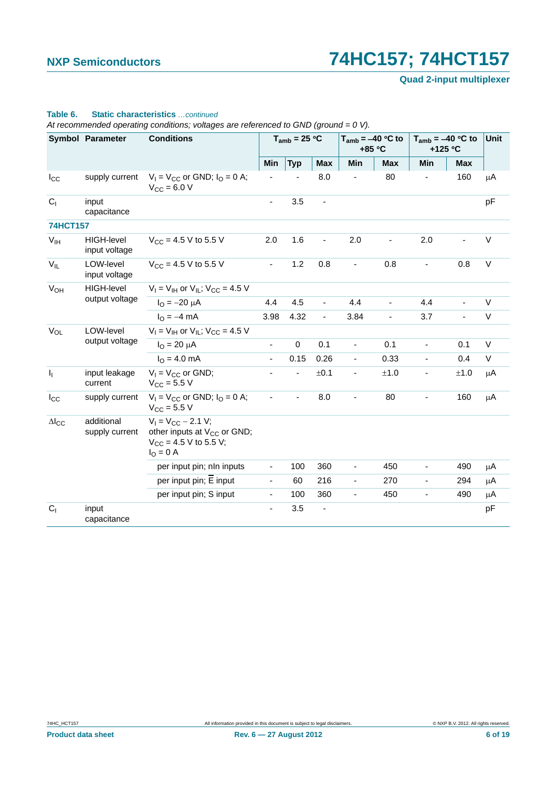**Quad 2-input multiplexer**

### **Table 6. Static characteristics** *…continued*

*At recommended operating conditions; voltages are referenced to GND (ground = 0 V).*

|                           | <b>Symbol Parameter</b>            | <b>Conditions</b>                                                                                              |                          | $T_{amb}$ = 25 °C        |                              | $T_{amb} = -40 °C$ to<br>+85 °C |                | $T_{amb} = -40 °C$ to<br>+125 °C |            | <b>Unit</b> |
|---------------------------|------------------------------------|----------------------------------------------------------------------------------------------------------------|--------------------------|--------------------------|------------------------------|---------------------------------|----------------|----------------------------------|------------|-------------|
|                           |                                    |                                                                                                                | Min                      | <b>Typ</b>               | Max                          | Min                             | <b>Max</b>     | Min                              | <b>Max</b> |             |
| $I_{\rm CC}$              | supply current                     | $V_1 = V_{CC}$ or GND; $I_0 = 0$ A;<br>$V_{CC} = 6.0 V$                                                        |                          |                          | 8.0                          |                                 | 80             |                                  | 160        | μA          |
| C <sub>1</sub>            | input<br>capacitance               |                                                                                                                | $\blacksquare$           | 3.5                      | $\qquad \qquad \blacksquare$ |                                 |                |                                  |            | pF          |
| <b>74HCT157</b>           |                                    |                                                                                                                |                          |                          |                              |                                 |                |                                  |            |             |
| V <sub>IH</sub>           | <b>HIGH-level</b><br>input voltage | $V_{CC}$ = 4.5 V to 5.5 V                                                                                      | 2.0                      | 1.6                      |                              | 2.0                             |                | 2.0                              |            | $\vee$      |
| $V_{IL}$                  | LOW-level<br>input voltage         | $V_{\text{CC}} = 4.5 \text{ V}$ to 5.5 V                                                                       | $\blacksquare$           | 1.2                      | 0.8                          | $\blacksquare$                  | 0.8            | $\blacksquare$                   | 0.8        | V           |
| <b>V<sub>OH</sub></b>     | <b>HIGH-level</b>                  | $V_1 = V_{1H}$ or $V_{1L}$ ; $V_{CC} = 4.5$ V                                                                  |                          |                          |                              |                                 |                |                                  |            |             |
|                           | output voltage                     | $I_{\text{O}} = -20 \mu A$                                                                                     | 4.4                      | 4.5                      | $\overline{\phantom{a}}$     | 4.4                             |                | 4.4                              |            | V           |
|                           |                                    | $IO = -4 mA$                                                                                                   | 3.98                     | 4.32                     | $\blacksquare$               | 3.84                            | $\blacksquare$ | 3.7                              | ÷,         | V           |
| <b>V<sub>OL</sub></b>     | LOW-level                          | $V_1 = V_{1H}$ or $V_{1L}$ ; $V_{CC} = 4.5$ V                                                                  |                          |                          |                              |                                 |                |                                  |            |             |
|                           | output voltage                     | $I_{\Omega} = 20 \mu A$                                                                                        | $\blacksquare$           | $\mathsf 0$              | 0.1                          | $\overline{\phantom{a}}$        | 0.1            | $\overline{\phantom{a}}$         | 0.1        | $\vee$      |
|                           |                                    | $I_{\Omega} = 4.0$ mA                                                                                          | $\overline{\phantom{a}}$ | 0.15                     | 0.26                         | $\blacksquare$                  | 0.33           | $\overline{\phantom{a}}$         | 0.4        | V           |
| $\mathbf{I}_{\mathbf{I}}$ | input leakage<br>current           | $V_1 = V_{CC}$ or GND;<br>$V_{\rm CC} = 5.5 V$                                                                 |                          | $\overline{\phantom{0}}$ | ±0.1                         | $\overline{\phantom{a}}$        | ±1.0           | $\overline{\phantom{a}}$         | ±1.0       | $\mu$ A     |
| $I_{\rm CC}$              | supply current                     | $V_1 = V_{CC}$ or GND; $I_Q = 0$ A;<br>$V_{CC}$ = 5.5 V                                                        | $\blacksquare$           | $\blacksquare$           | 8.0                          | $\overline{\phantom{a}}$        | 80             | $\blacksquare$                   | 160        | $\mu$ A     |
| $\Delta$ <sub>cc</sub>    | additional<br>supply current       | $V_1 = V_{CC} - 2.1 V;$<br>other inputs at V <sub>CC</sub> or GND;<br>$V_{CC}$ = 4.5 V to 5.5 V;<br>$IO = 0$ A |                          |                          |                              |                                 |                |                                  |            |             |
|                           |                                    | per input pin; nln inputs                                                                                      | $\overline{\phantom{a}}$ | 100                      | 360                          | $\blacksquare$                  | 450            | $\blacksquare$                   | 490        | $\mu$ A     |
|                           |                                    | per input pin; $\overline{E}$ input                                                                            | $\overline{\phantom{a}}$ | 60                       | 216                          | $\overline{\phantom{a}}$        | 270            | $\overline{\phantom{a}}$         | 294        | μA          |
|                           |                                    | per input pin; S input                                                                                         | $\overline{\phantom{a}}$ | 100                      | 360                          | $\blacksquare$                  | 450            | $\overline{\phantom{a}}$         | 490        | μA          |
| C <sub>1</sub>            | input<br>capacitance               |                                                                                                                | $\blacksquare$           | 3.5                      | $\qquad \qquad \blacksquare$ |                                 |                |                                  |            | pF          |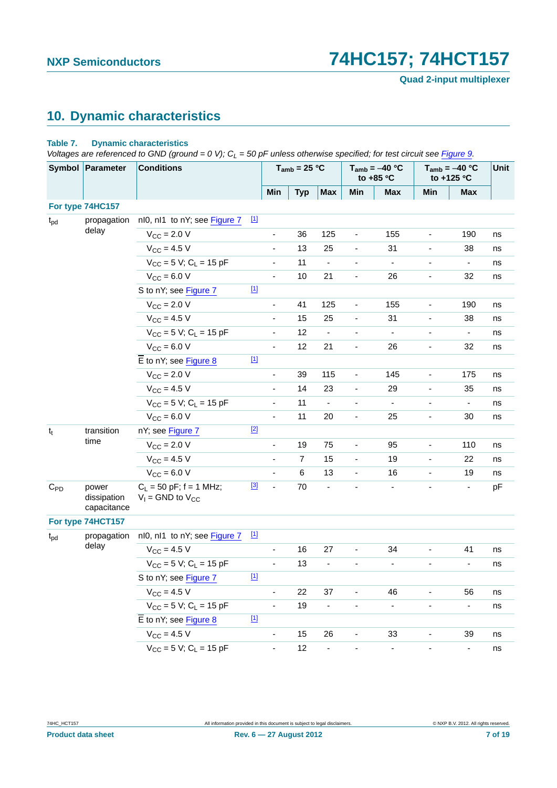**Quad 2-input multiplexer**

# <span id="page-6-0"></span>**10. Dynamic characteristics**

#### **Table 7. Dynamic characteristics**

*Voltages are referenced to GND (ground = 0 V); C<sub>L</sub> = 50 pF unless otherwise specified; for test circuit see [Figure 9.](#page-9-0)* 

|              | Symbol Parameter                    | <b>Conditions</b>                                    |                          |                              | $T_{amb}$ = 25 °C |                | $T_{amb} = -40 °C$<br>to +85 $°C$ |                          | $T_{amb} = -40 °C$<br>to +125 °C |                              | Unit |
|--------------|-------------------------------------|------------------------------------------------------|--------------------------|------------------------------|-------------------|----------------|-----------------------------------|--------------------------|----------------------------------|------------------------------|------|
|              |                                     |                                                      |                          | Min                          | <b>Typ</b>        | <b>Max</b>     | Min                               | <b>Max</b>               | Min                              | <b>Max</b>                   |      |
|              | For type 74HC157                    |                                                      |                          |                              |                   |                |                                   |                          |                                  |                              |      |
| $t_{\rm pd}$ | propagation                         | nl0, nl1 to nY; see Figure 7                         | $\boxed{1}$              |                              |                   |                |                                   |                          |                                  |                              |      |
|              | delay                               | $V_{\text{CC}} = 2.0 V$                              |                          | -                            | 36                | 125            | $\overline{\phantom{a}}$          | 155                      | ٠                                | 190                          | ns   |
|              |                                     | $V_{CC}$ = 4.5 V                                     |                          | $\overline{\phantom{0}}$     | 13                | 25             | $\blacksquare$                    | 31                       | ÷,                               | 38                           | ns   |
|              |                                     | $V_{CC}$ = 5 V; C <sub>1</sub> = 15 pF               |                          | $\blacksquare$               | 11                | $\blacksquare$ | $\blacksquare$                    | $\blacksquare$           | $\blacksquare$                   | $\blacksquare$               | ns   |
|              |                                     | $V_{CC}$ = 6.0 V                                     |                          | ÷,                           | 10                | 21             | $\overline{a}$                    | 26                       | $\blacksquare$                   | 32                           | ns   |
|              |                                     | S to nY; see Figure 7                                | $[1]$                    |                              |                   |                |                                   |                          |                                  |                              |      |
|              | $V_{CC}$ = 2.0 V                    |                                                      | $\overline{\phantom{0}}$ | 41                           | 125               | $\blacksquare$ | 155                               | $\blacksquare$           | 190                              | ns                           |      |
|              | $V_{CC}$ = 4.5 V                    |                                                      | $\overline{\phantom{0}}$ | 15                           | 25                | $\blacksquare$ | 31                                | $\overline{\phantom{0}}$ | 38                               | ns                           |      |
|              |                                     | $V_{CC}$ = 5 V; C <sub>L</sub> = 15 pF               |                          | ÷,                           | 12                | $\frac{1}{2}$  |                                   | $\blacksquare$           |                                  | $\blacksquare$               | ns   |
|              |                                     | $V_{CC} = 6.0 V$                                     |                          | $\overline{\phantom{0}}$     | 12                | 21             | $\blacksquare$                    | 26                       | ÷,                               | 32                           | ns   |
|              |                                     | $\overline{E}$ to nY; see Figure 8                   | $[1]$                    |                              |                   |                |                                   |                          |                                  |                              |      |
|              | $V_{CC}$ = 2.0 V                    |                                                      | $\overline{\phantom{0}}$ | 39                           | 115               | $\blacksquare$ | 145                               | $\overline{\phantom{a}}$ | 175                              | ns                           |      |
|              |                                     | $V_{CC} = 4.5 V$                                     |                          | ÷,                           | 14                | 23             | $\blacksquare$                    | 29                       | ÷,                               | 35                           | ns   |
|              |                                     | $V_{CC}$ = 5 V; C <sub>1</sub> = 15 pF               |                          | $\qquad \qquad \blacksquare$ | 11                | $\blacksquare$ | $\blacksquare$                    | $\overline{\phantom{a}}$ | $\blacksquare$                   | $\blacksquare$               | ns   |
|              |                                     | $V_{CC} = 6.0 V$                                     |                          | ÷,                           | 11                | 20             | $\overline{\phantom{a}}$          | 25                       | ÷,                               | 30                           | ns   |
| $t_t$        | transition                          | nY; see Figure 7                                     | $[2]$                    |                              |                   |                |                                   |                          |                                  |                              |      |
|              | time                                | $V_{\rm CC} = 2.0 V$                                 |                          | $\overline{\phantom{0}}$     | 19                | 75             | $\blacksquare$                    | 95                       | $\blacksquare$                   | 110                          | ns   |
|              |                                     | $V_{CC} = 4.5 V$                                     |                          | $\overline{\phantom{0}}$     | $\overline{7}$    | 15             | $\blacksquare$                    | 19                       | $\overline{\phantom{a}}$         | 22                           | ns   |
|              |                                     | $V_{CC}$ = 6.0 V                                     |                          | ÷,                           | 6                 | 13             | $\overline{\phantom{a}}$          | 16                       | $\overline{\phantom{a}}$         | 19                           | ns   |
| $C_{PD}$     | power<br>dissipation<br>capacitance | $C_L$ = 50 pF; f = 1 MHz;<br>$V_1$ = GND to $V_{CC}$ | $[3]$                    | $\blacksquare$               | 70                | ÷,             | $\blacksquare$                    | $\blacksquare$           | $\blacksquare$                   | $\blacksquare$               | pF   |
|              | For type 74HCT157                   |                                                      |                          |                              |                   |                |                                   |                          |                                  |                              |      |
| $t_{\rm pd}$ | propagation                         | nl0, nl1 to nY; see Figure 7                         | $[1]$                    |                              |                   |                |                                   |                          |                                  |                              |      |
|              | delay                               | $V_{CC}$ = 4.5 V                                     |                          | $\overline{\phantom{a}}$     | 16                | 27             | $\overline{\phantom{a}}$          | 34                       | $\qquad \qquad \blacksquare$     | 41                           | ns   |
|              |                                     | $V_{CC}$ = 5 V; C <sub>L</sub> = 15 pF               |                          |                              | 13                |                |                                   |                          |                                  | $\qquad \qquad \blacksquare$ | ns   |
|              |                                     | S to nY; see Figure 7                                | $[1]$                    |                              |                   |                |                                   |                          |                                  |                              |      |
|              |                                     | $V_{CC} = 4.5 V$                                     |                          |                              | 22                | 37             |                                   | 46                       |                                  | 56                           | ns   |
|              |                                     | $V_{CC} = 5 V$ ; C <sub>L</sub> = 15 pF              |                          | ä,                           | 19                | $\frac{1}{2}$  | ÷                                 | $\blacksquare$           | -                                | $\blacksquare$               | ns   |
|              |                                     | $\overline{E}$ to nY; see Figure 8                   | $[1]$                    |                              |                   |                |                                   |                          |                                  |                              |      |
|              |                                     | $V_{CC}$ = 4.5 V                                     |                          | -                            | 15                | 26             |                                   | 33                       | -                                | 39                           | ns   |
|              |                                     | $V_{CC}$ = 5 V; C <sub>L</sub> = 15 pF               |                          | $\qquad \qquad \blacksquare$ | 12                | $\blacksquare$ |                                   | $\blacksquare$           |                                  | $\overline{\phantom{a}}$     | ns   |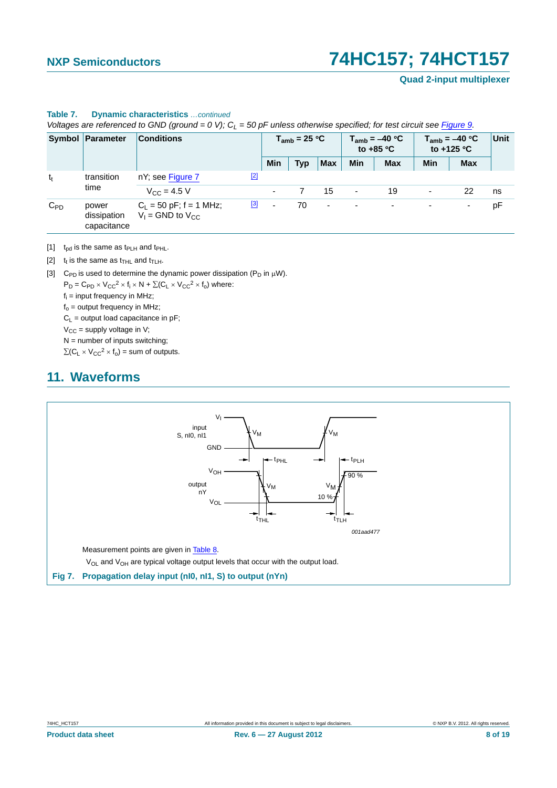**Quad 2-input multiplexer**

|          | voltages are released to GivD (ground = 0 v), $C_1$ = 50 pr unless otherwise specified, for test circuit see Figure 9. |                                                             |                          |                   |                          |                          |                                          |     |                                           |      |
|----------|------------------------------------------------------------------------------------------------------------------------|-------------------------------------------------------------|--------------------------|-------------------|--------------------------|--------------------------|------------------------------------------|-----|-------------------------------------------|------|
|          | <b>Symbol Parameter</b>                                                                                                | <b>Conditions</b>                                           |                          | $T_{amb}$ = 25 °C |                          |                          | $T_{amb} = -40 °C$<br>to +85 $\degree$ C |     | $T_{amb} = -40 °C$<br>to +125 $\degree$ C | Unit |
|          |                                                                                                                        |                                                             | Min                      | Typ               | <b>Max</b>               | <b>Min</b>               | <b>Max</b>                               | Min | <b>Max</b>                                |      |
| $t_{t}$  | transition<br>time                                                                                                     | $[2]$<br>nY; see Figure 7                                   |                          |                   |                          |                          |                                          |     |                                           |      |
|          |                                                                                                                        | $V_{\rm CC} = 4.5 V$                                        |                          |                   | 15                       | $\overline{\phantom{a}}$ | 19                                       | ۰   | 22                                        | ns   |
| $C_{PD}$ | power<br>dissipation<br>capacitance                                                                                    | [3]<br>$C_1 = 50$ pF; f = 1 MHz;<br>$V_1$ = GND to $V_{CC}$ | $\overline{\phantom{a}}$ | 70                | $\overline{\phantom{a}}$ | $\sim$                   | $\overline{\phantom{0}}$                 |     | $\overline{\phantom{a}}$                  | pF   |

# **Table 7. Dynamic characteristics** *…continued*

*Voltages are referenced to GND (ground = 0 V); CL = 50 pF unless otherwise specified; for test circuit see Figure 9.*

<span id="page-7-1"></span>[1]  $t_{pd}$  is the same as  $t_{PLH}$  and  $t_{PHL}$ .

- <span id="page-7-2"></span>[2]  $t_t$  is the same as  $t_{\text{THL}}$  and  $t_{\text{TLH}}$ .
- <span id="page-7-3"></span>[3] C<sub>PD</sub> is used to determine the dynamic power dissipation ( $P_D$  in  $\mu$ W).

 $P_D = C_{PD} \times V_{CC}^2 \times f_i \times N + \Sigma (C_L \times V_{CC}^2 \times f_o)$  where:

 $f_i$  = input frequency in MHz;

 $f<sub>o</sub>$  = output frequency in MHz;

 $C_L$  = output load capacitance in pF;

 $V_{CC}$  = supply voltage in V;

 $N =$  number of inputs switching;

 $\Sigma(C_L \times V_{CC}^2 \times f_0)$  = sum of outputs.

## <span id="page-7-4"></span>**11. Waveforms**

<span id="page-7-0"></span>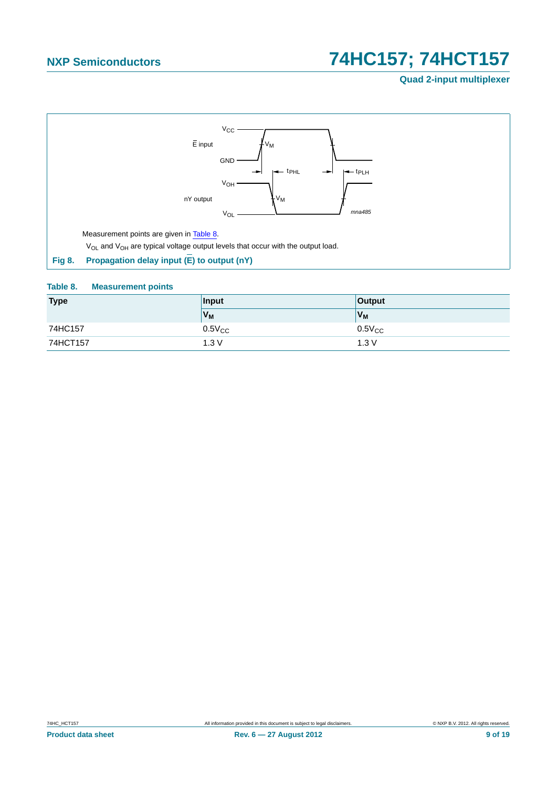### **Quad 2-input multiplexer**



#### <span id="page-8-1"></span><span id="page-8-0"></span>**Table 8. Measurement points**

| <b>Type</b> | Input       | <b>Output</b> |  |  |
|-------------|-------------|---------------|--|--|
|             | $V_M$       | $V_M$         |  |  |
| 74HC157     | $0.5V_{CC}$ | $0.5V_{CC}$   |  |  |
| 74HCT157    | 1.3V        | 1.3V          |  |  |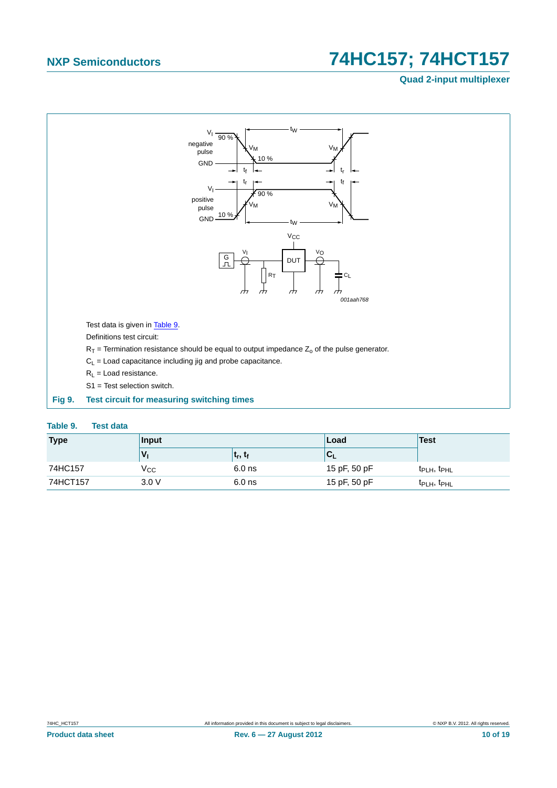### **Quad 2-input multiplexer**



<span id="page-9-1"></span><span id="page-9-0"></span>

| Table 9. | <b>Test data</b> |  |
|----------|------------------|--|
|          |                  |  |

| <b>Type</b> | Input |                                   | Load         | Test                                |
|-------------|-------|-----------------------------------|--------------|-------------------------------------|
|             |       | ∣ t <sub>r</sub> , t <sub>f</sub> | ◡∟           |                                     |
| 74HC157     | Vcc   | $6.0$ ns                          | 15 pF, 50 pF | $t_{\text{PLH}}$ , $t_{\text{PHL}}$ |
| 74HCT157    | 3.0V  | $6.0$ ns                          | 15 pF, 50 pF | t <sub>PLH</sub> , t <sub>PHL</sub> |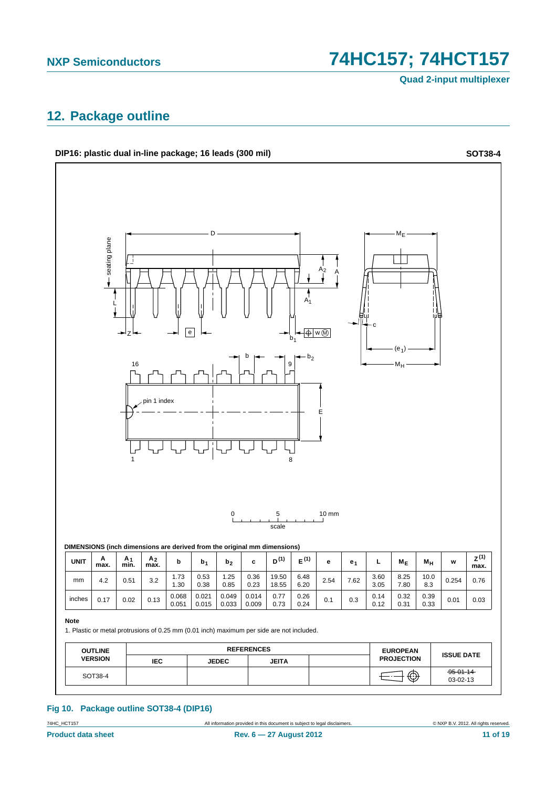**Quad 2-input multiplexer**

# <span id="page-10-0"></span>**12. Package outline**



#### **Fig 10. Package outline SOT38-4 (DIP16)**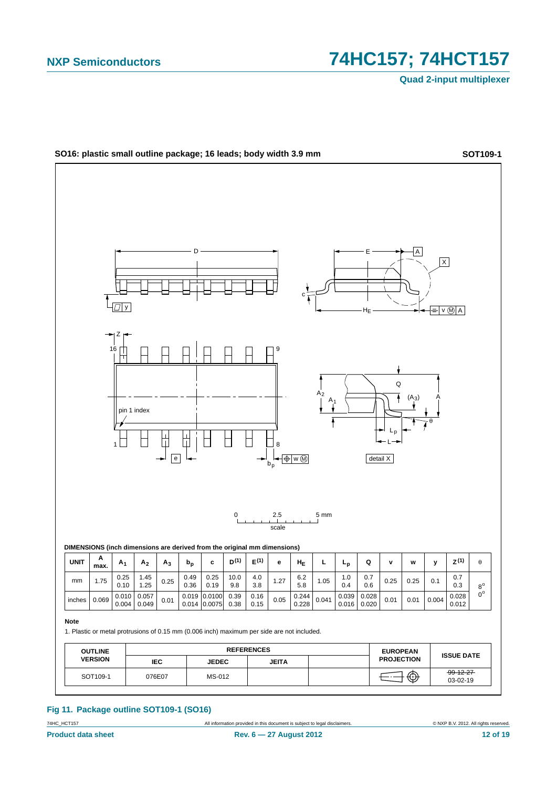**Quad 2-input multiplexer**



**Fig 11. Package outline SOT109-1 (SO16)**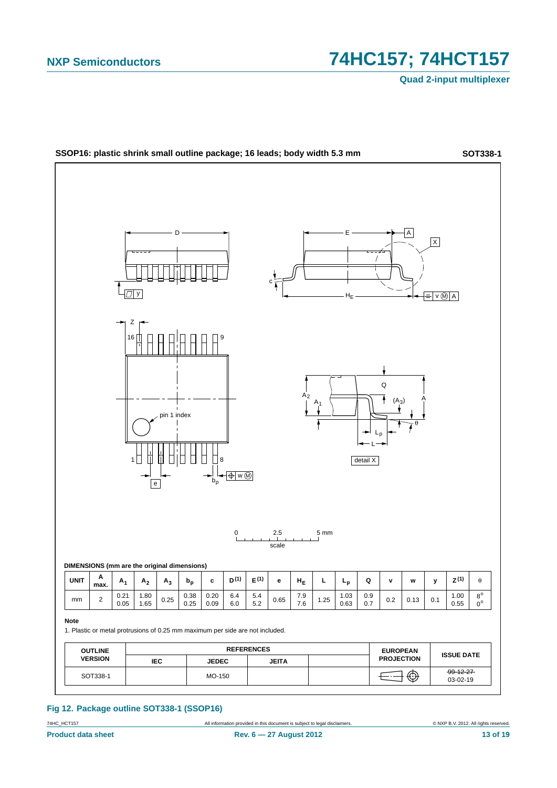

**Fig 12. Package outline SOT338-1 (SSOP16)**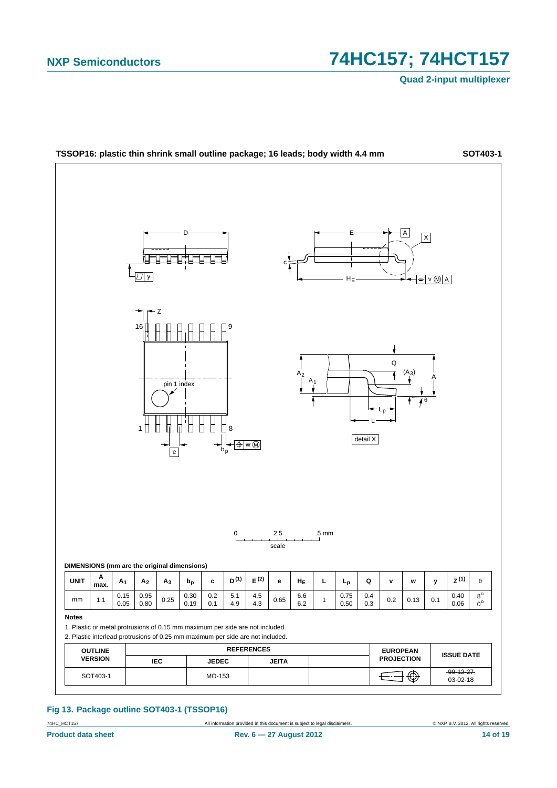**Quad 2-input multiplexer**



**Fig 13. Package outline SOT403-1 (TSSOP16)**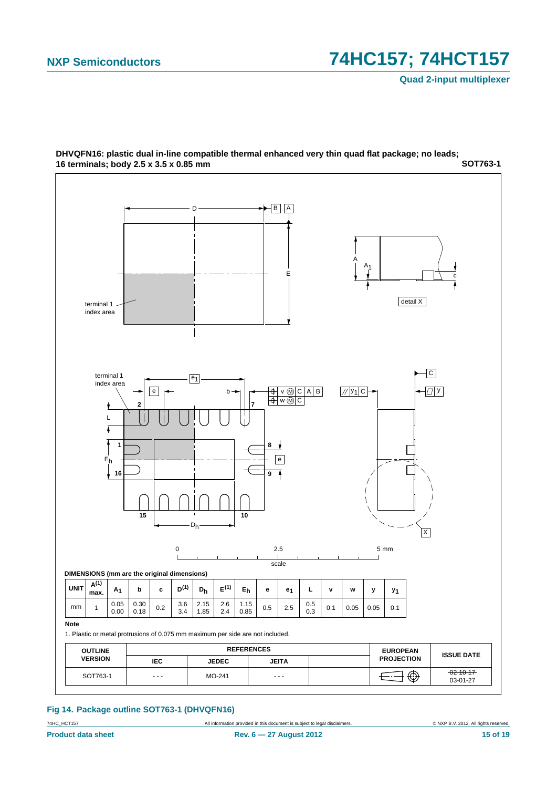**Quad 2-input multiplexer**



**SOT763-1 DHVQFN16: plastic dual in-line compatible thermal enhanced very thin quad flat package; no leads; 16 terminals; body 2.5 x 3.5 x 0.85 mm**

#### **Fig 14. Package outline SOT763-1 (DHVQFN16)**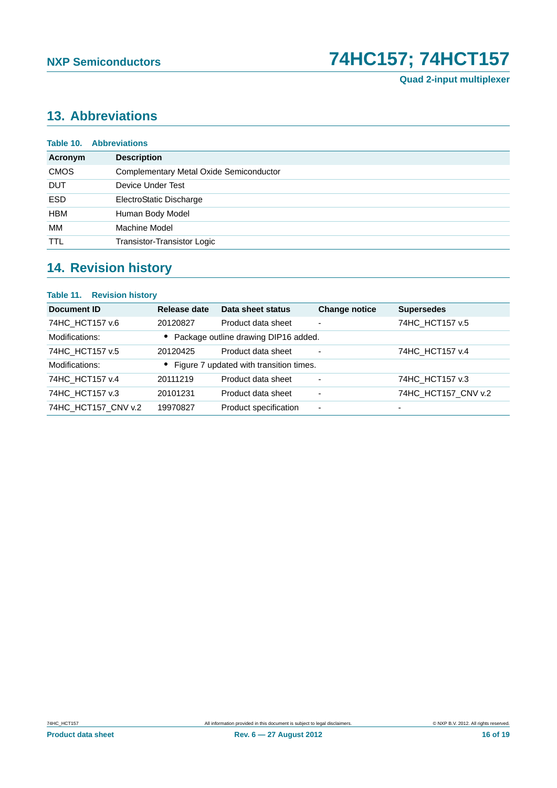# <span id="page-15-0"></span>**13. Abbreviations**

| <b>Description</b><br>Acronym<br><b>CMOS</b><br>Complementary Metal Oxide Semiconductor<br><b>DUT</b><br>Device Under Test<br><b>ESD</b><br>ElectroStatic Discharge<br><b>HBM</b><br>Human Body Model<br>МM<br>Machine Model<br><b>TTL</b><br>Transistor-Transistor Logic | <b>Table 10. Abbreviations</b> |  |  |
|---------------------------------------------------------------------------------------------------------------------------------------------------------------------------------------------------------------------------------------------------------------------------|--------------------------------|--|--|
|                                                                                                                                                                                                                                                                           |                                |  |  |
|                                                                                                                                                                                                                                                                           |                                |  |  |
|                                                                                                                                                                                                                                                                           |                                |  |  |
|                                                                                                                                                                                                                                                                           |                                |  |  |
|                                                                                                                                                                                                                                                                           |                                |  |  |
|                                                                                                                                                                                                                                                                           |                                |  |  |
|                                                                                                                                                                                                                                                                           |                                |  |  |

## <span id="page-15-1"></span>**14. Revision history**

## **Table 11. Revision history Document ID Release date Data sheet status Change notice Supersedes** 74HC HCT157 v.6 20120827 Product data sheet - 74HC HCT157 v.5 Modifications: **•** Package outline drawing DIP16 added. 74HC\_HCT157 v.5 20120425 Product data sheet - 74HC\_HCT157 v.4 Modifications: **•** Figure 7 updated with transition times. 74HC\_HCT157 v.4 20111219 Product data sheet - 74HC\_HCT157 v.3 74HC\_HCT157 v.3 20101231 Product data sheet - 74HC\_HCT157\_CNV v.2 74HC\_HCT157\_CNV v.2 19970827 Product specification - -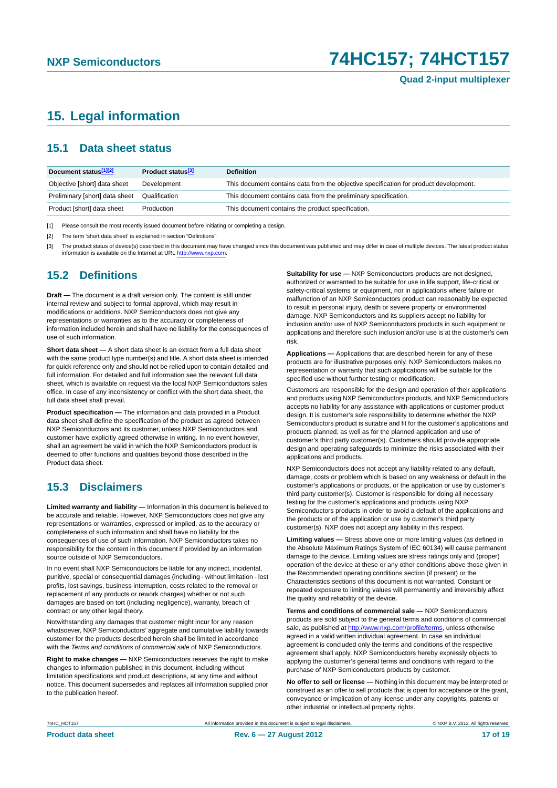# <span id="page-16-0"></span>**15. Legal information**

### <span id="page-16-1"></span>**15.1 Data sheet status**

| Document status[1][2]          | <b>Product status</b> <sup>[3]</sup> | <b>Definition</b>                                                                     |
|--------------------------------|--------------------------------------|---------------------------------------------------------------------------------------|
| Objective [short] data sheet   | Development                          | This document contains data from the objective specification for product development. |
| Preliminary [short] data sheet | Qualification                        | This document contains data from the preliminary specification.                       |
| Product [short] data sheet     | Production                           | This document contains the product specification.                                     |

[1] Please consult the most recently issued document before initiating or completing a design.

[2] The term 'short data sheet' is explained in section "Definitions".

[3] The product status of device(s) described in this document may have changed since this document was published and may differ in case of multiple devices. The latest product status<br>information is available on the Intern

### <span id="page-16-2"></span>**15.2 Definitions**

**Draft —** The document is a draft version only. The content is still under internal review and subject to formal approval, which may result in modifications or additions. NXP Semiconductors does not give any representations or warranties as to the accuracy or completeness of information included herein and shall have no liability for the consequences of use of such information.

**Short data sheet —** A short data sheet is an extract from a full data sheet with the same product type number(s) and title. A short data sheet is intended for quick reference only and should not be relied upon to contain detailed and full information. For detailed and full information see the relevant full data sheet, which is available on request via the local NXP Semiconductors sales office. In case of any inconsistency or conflict with the short data sheet, the full data sheet shall prevail.

**Product specification —** The information and data provided in a Product data sheet shall define the specification of the product as agreed between NXP Semiconductors and its customer, unless NXP Semiconductors and customer have explicitly agreed otherwise in writing. In no event however, shall an agreement be valid in which the NXP Semiconductors product is deemed to offer functions and qualities beyond those described in the Product data sheet.

### <span id="page-16-3"></span>**15.3 Disclaimers**

**Limited warranty and liability —** Information in this document is believed to be accurate and reliable. However, NXP Semiconductors does not give any representations or warranties, expressed or implied, as to the accuracy or completeness of such information and shall have no liability for the consequences of use of such information. NXP Semiconductors takes no responsibility for the content in this document if provided by an information source outside of NXP Semiconductors.

In no event shall NXP Semiconductors be liable for any indirect, incidental, punitive, special or consequential damages (including - without limitation - lost profits, lost savings, business interruption, costs related to the removal or replacement of any products or rework charges) whether or not such damages are based on tort (including negligence), warranty, breach of contract or any other legal theory.

Notwithstanding any damages that customer might incur for any reason whatsoever, NXP Semiconductors' aggregate and cumulative liability towards customer for the products described herein shall be limited in accordance with the *Terms and conditions of commercial sale* of NXP Semiconductors.

**Right to make changes —** NXP Semiconductors reserves the right to make changes to information published in this document, including without limitation specifications and product descriptions, at any time and without notice. This document supersedes and replaces all information supplied prior to the publication hereof.

**Suitability for use —** NXP Semiconductors products are not designed, authorized or warranted to be suitable for use in life support, life-critical or safety-critical systems or equipment, nor in applications where failure or malfunction of an NXP Semiconductors product can reasonably be expected to result in personal injury, death or severe property or environmental damage. NXP Semiconductors and its suppliers accept no liability for inclusion and/or use of NXP Semiconductors products in such equipment or applications and therefore such inclusion and/or use is at the customer's own risk.

**Applications —** Applications that are described herein for any of these products are for illustrative purposes only. NXP Semiconductors makes no representation or warranty that such applications will be suitable for the specified use without further testing or modification.

Customers are responsible for the design and operation of their applications and products using NXP Semiconductors products, and NXP Semiconductors accepts no liability for any assistance with applications or customer product design. It is customer's sole responsibility to determine whether the NXP Semiconductors product is suitable and fit for the customer's applications and products planned, as well as for the planned application and use of customer's third party customer(s). Customers should provide appropriate design and operating safeguards to minimize the risks associated with their applications and products.

NXP Semiconductors does not accept any liability related to any default, damage, costs or problem which is based on any weakness or default in the customer's applications or products, or the application or use by customer's third party customer(s). Customer is responsible for doing all necessary testing for the customer's applications and products using NXP Semiconductors products in order to avoid a default of the applications and the products or of the application or use by customer's third party customer(s). NXP does not accept any liability in this respect.

**Limiting values —** Stress above one or more limiting values (as defined in the Absolute Maximum Ratings System of IEC 60134) will cause permanent damage to the device. Limiting values are stress ratings only and (proper) operation of the device at these or any other conditions above those given in the Recommended operating conditions section (if present) or the Characteristics sections of this document is not warranted. Constant or repeated exposure to limiting values will permanently and irreversibly affect the quality and reliability of the device.

**Terms and conditions of commercial sale —** NXP Semiconductors products are sold subject to the general terms and conditions of commercial sale, as published at<http://www.nxp.com/profile/terms>, unless otherwise agreed in a valid written individual agreement. In case an individual agreement is concluded only the terms and conditions of the respective agreement shall apply. NXP Semiconductors hereby expressly objects to applying the customer's general terms and conditions with regard to the purchase of NXP Semiconductors products by customer.

**No offer to sell or license —** Nothing in this document may be interpreted or construed as an offer to sell products that is open for acceptance or the grant, conveyance or implication of any license under any copyrights, patents or other industrial or intellectual property rights.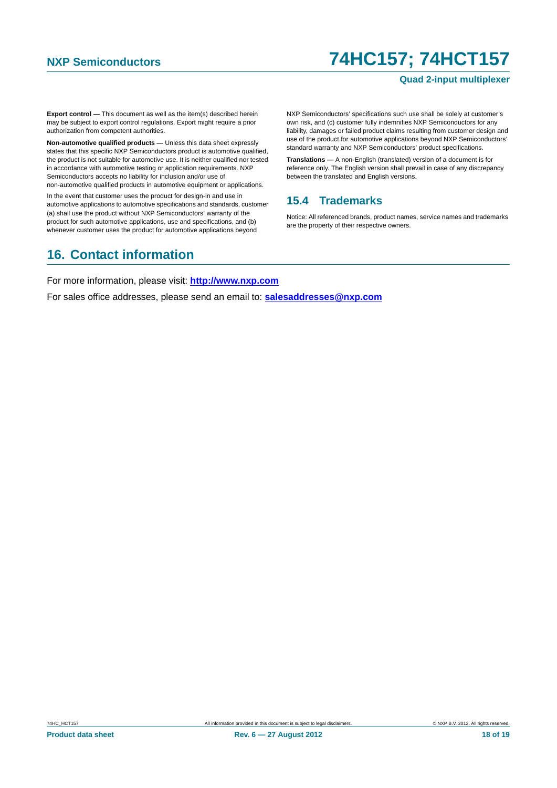#### **Quad 2-input multiplexer**

**Export control —** This document as well as the item(s) described herein may be subject to export control regulations. Export might require a prior authorization from competent authorities.

**Non-automotive qualified products —** Unless this data sheet expressly states that this specific NXP Semiconductors product is automotive qualified, the product is not suitable for automotive use. It is neither qualified nor tested in accordance with automotive testing or application requirements. NXP Semiconductors accepts no liability for inclusion and/or use of non-automotive qualified products in automotive equipment or applications.

In the event that customer uses the product for design-in and use in automotive applications to automotive specifications and standards, customer (a) shall use the product without NXP Semiconductors' warranty of the product for such automotive applications, use and specifications, and (b) whenever customer uses the product for automotive applications beyond

NXP Semiconductors' specifications such use shall be solely at customer's own risk, and (c) customer fully indemnifies NXP Semiconductors for any liability, damages or failed product claims resulting from customer design and use of the product for automotive applications beyond NXP Semiconductors' standard warranty and NXP Semiconductors' product specifications.

**Translations —** A non-English (translated) version of a document is for reference only. The English version shall prevail in case of any discrepancy between the translated and English versions.

### <span id="page-17-0"></span>**15.4 Trademarks**

Notice: All referenced brands, product names, service names and trademarks are the property of their respective owners.

# <span id="page-17-1"></span>**16. Contact information**

For more information, please visit: **http://www.nxp.com**

For sales office addresses, please send an email to: **salesaddresses@nxp.com**